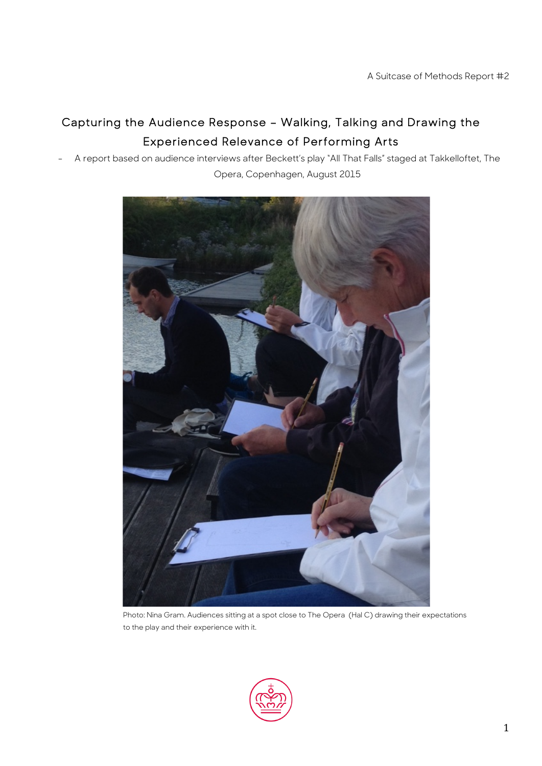# Capturing the Audience Response – Walking, Talking and Drawing the Experienced Relevance of Performing Arts

A report based on audience interviews after Beckett's play "All That Falls" staged at Takkelloftet, The

Opera, Copenhagen, August 2015



Photo: Nina Gram. Audiences sitting at a spot close to The Opera (Hal C) drawing their expectations to the play and their experience with it.

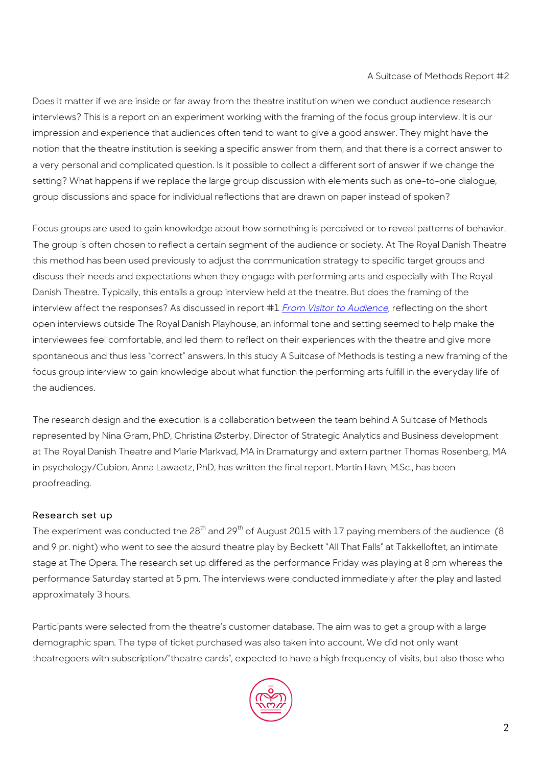Does it matter if we are inside or far away from the theatre institution when we conduct audience research interviews? This is a report on an experiment working with the framing of the focus group interview. It is our impression and experience that audiences often tend to want to give a good answer. They might have the notion that the theatre institution is seeking a specific answer from them, and that there is a correct answer to a very personal and complicated question. Is it possible to collect a different sort of answer if we change the setting? What happens if we replace the large group discussion with elements such as one-to-one dialogue, group discussions and space for individual reflections that are drawn on paper instead of spoken?

Focus groups are used to gain knowledge about how something is perceived or to reveal patterns of behavior. The group is often chosen to reflect a certain segment of the audience or society. At The Royal Danish Theatre this method has been used previously to adjust the communication strategy to specific target groups and discuss their needs and expectations when they engage with performing arts and especially with The Royal Danish Theatre. Typically, this entails a group interview held at the theatre. But does the framing of the interview affect the responses? As discussed in report #1 From Visitor to Audience, reflecting on the short open interviews outside The Royal Danish Playhouse, an informal tone and setting seemed to help make the interviewees feel comfortable, and led them to reflect on their experiences with the theatre and give more spontaneous and thus less "correct" answers. In this study A Suitcase of Methods is testing a new framing of the focus group interview to gain knowledge about what function the performing arts fulfill in the everyday life of the audiences.

The research design and the execution is a collaboration between the team behind A Suitcase of Methods represented by Nina Gram, PhD, Christina Østerby, Director of Strategic Analytics and Business development at The Royal Danish Theatre and Marie Markvad, MA in Dramaturgy and extern partner Thomas Rosenberg, MA in psychology/Cubion. Anna Lawaetz, PhD, has written the final report. Martin Havn, M.Sc., has been proofreading.

#### Research set up

The experiment was conducted the  $28<sup>th</sup>$  and  $29<sup>th</sup>$  of August 2015 with 17 paying members of the audience (8) and 9 pr. night) who went to see the absurd theatre play by Beckett "All That Falls" at Takkelloftet, an intimate stage at The Opera. The research set up differed as the performance Friday was playing at 8 pm whereas the performance Saturday started at 5 pm. The interviews were conducted immediately after the play and lasted approximately 3 hours.

Participants were selected from the theatre's customer database. The aim was to get a group with a large demographic span. The type of ticket purchased was also taken into account. We did not only want theatregoers with subscription/"theatre cards", expected to have a high frequency of visits, but also those who

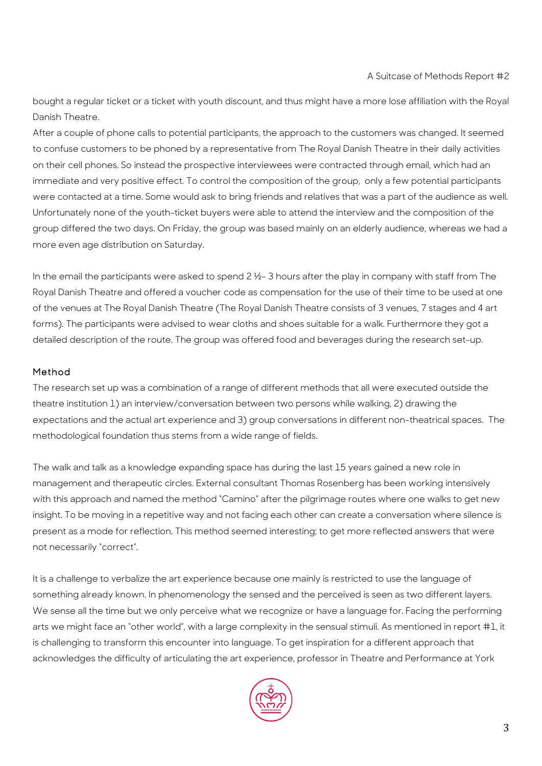bought a regular ticket or a ticket with youth discount, and thus might have a more lose affiliation with the Royal Danish Theatre.

After a couple of phone calls to potential participants, the approach to the customers was changed. It seemed to confuse customers to be phoned by a representative from The Royal Danish Theatre in their daily activities on their cell phones. So instead the prospective interviewees were contracted through email, which had an immediate and very positive effect. To control the composition of the group, only a few potential participants were contacted at a time. Some would ask to bring friends and relatives that was a part of the audience as well. Unfortunately none of the youth-ticket buyers were able to attend the interview and the composition of the group differed the two days. On Friday, the group was based mainly on an elderly audience, whereas we had a more even age distribution on Saturday.

In the email the participants were asked to spend 2  $\frac{1}{2}$ -3 hours after the play in company with staff from The Royal Danish Theatre and offered a voucher code as compensation for the use of their time to be used at one of the venues at The Royal Danish Theatre (The Royal Danish Theatre consists of 3 venues, 7 stages and 4 art forms). The participants were advised to wear cloths and shoes suitable for a walk. Furthermore they got a detailed description of the route. The group was offered food and beverages during the research set-up.

## Method

The research set up was a combination of a range of different methods that all were executed outside the theatre institution 1) an interview/conversation between two persons while walking, 2) drawing the expectations and the actual art experience and 3) group conversations in different non-theatrical spaces. The methodological foundation thus stems from a wide range of fields.

The walk and talk as a knowledge expanding space has during the last 15 years gained a new role in management and therapeutic circles. External consultant Thomas Rosenberg has been working intensively with this approach and named the method "Camino" after the pilgrimage routes where one walks to get new insight. To be moving in a repetitive way and not facing each other can create a conversation where silence is present as a mode for reflection. This method seemed interesting; to get more reflected answers that were not necessarily "correct".

It is a challenge to verbalize the art experience because one mainly is restricted to use the language of something already known. In phenomenology the sensed and the perceived is seen as two different layers. We sense all the time but we only perceive what we recognize or have a language for. Facing the performing arts we might face an "other world", with a large complexity in the sensual stimuli. As mentioned in report #1, it is challenging to transform this encounter into language. To get inspiration for a different approach that acknowledges the difficulty of articulating the art experience, professor in Theatre and Performance at York

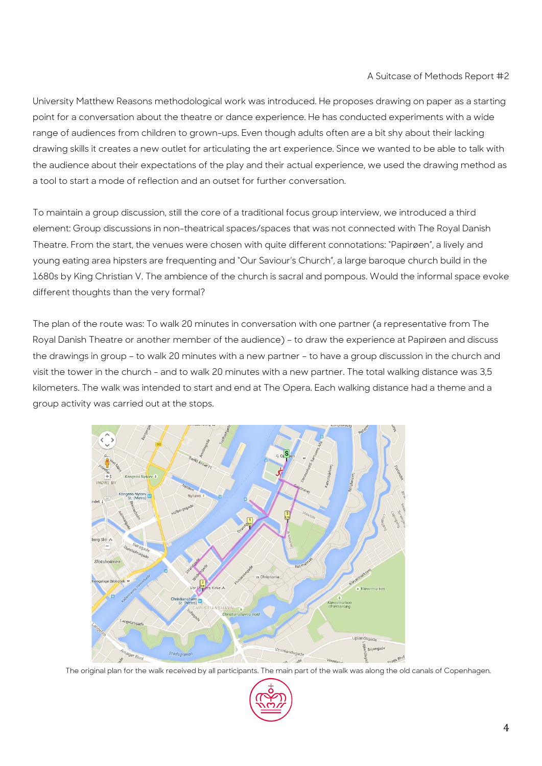University Matthew Reasons methodological work was introduced. He proposes drawing on paper as a starting point for a conversation about the theatre or dance experience. He has conducted experiments with a wide range of audiences from children to grown-ups. Even though adults often are a bit shy about their lacking drawing skills it creates a new outlet for articulating the art experience. Since we wanted to be able to talk with the audience about their expectations of the play and their actual experience, we used the drawing method as a tool to start a mode of reflection and an outset for further conversation.

To maintain a group discussion, still the core of a traditional focus group interview, we introduced a third element: Group discussions in non-theatrical spaces/spaces that was not connected with The Royal Danish Theatre. From the start, the venues were chosen with quite different connotations: "Papirøen", a lively and young eating area hipsters are frequenting and "Our Saviour's Church", a large baroque church build in the 1680s by King Christian V. The ambience of the church is sacral and pompous. Would the informal space evoke different thoughts than the very formal?

The plan of the route was: To walk 20 minutes in conversation with one partner (a representative from The Royal Danish Theatre or another member of the audience) – to draw the experience at Papirøen and discuss the drawings in group – to walk 20 minutes with a new partner – to have a group discussion in the church and visit the tower in the church - and to walk 20 minutes with a new partner. The total walking distance was 3,5 kilometers. The walk was intended to start and end at The Opera. Each walking distance had a theme and a group activity was carried out at the stops.



The original plan for the walk received by all participants. The main part of the walk was along the old canals of Copenhagen.

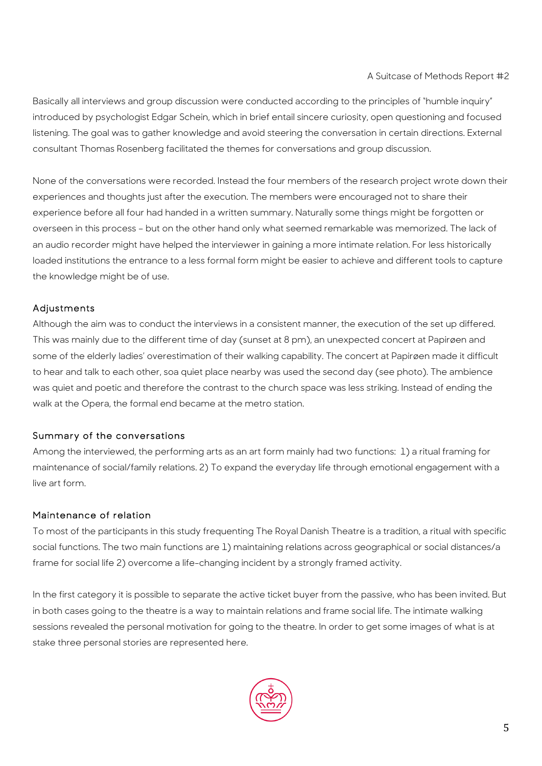Basically all interviews and group discussion were conducted according to the principles of "humble inquiry" introduced by psychologist Edgar Schein, which in brief entail sincere curiosity, open questioning and focused listening. The goal was to gather knowledge and avoid steering the conversation in certain directions. External consultant Thomas Rosenberg facilitated the themes for conversations and group discussion.

None of the conversations were recorded. Instead the four members of the research project wrote down their experiences and thoughts just after the execution. The members were encouraged not to share their experience before all four had handed in a written summary. Naturally some things might be forgotten or overseen in this process – but on the other hand only what seemed remarkable was memorized. The lack of an audio recorder might have helped the interviewer in gaining a more intimate relation. For less historically loaded institutions the entrance to a less formal form might be easier to achieve and different tools to capture the knowledge might be of use.

# Adjustments

Although the aim was to conduct the interviews in a consistent manner, the execution of the set up differed. This was mainly due to the different time of day (sunset at 8 pm), an unexpected concert at Papirøen and some of the elderly ladies' overestimation of their walking capability. The concert at Papirøen made it difficult to hear and talk to each other, soa quiet place nearby was used the second day (see photo). The ambience was quiet and poetic and therefore the contrast to the church space was less striking. Instead of ending the walk at the Opera, the formal end became at the metro station.

## Summary of the conversations

Among the interviewed, the performing arts as an art form mainly had two functions: 1) a ritual framing for maintenance of social/family relations. 2) To expand the everyday life through emotional engagement with a live art form.

## Maintenance of relation

To most of the participants in this study frequenting The Royal Danish Theatre is a tradition, a ritual with specific social functions. The two main functions are 1) maintaining relations across geographical or social distances/a frame for social life 2) overcome a life-changing incident by a strongly framed activity.

In the first category it is possible to separate the active ticket buyer from the passive, who has been invited. But in both cases going to the theatre is a way to maintain relations and frame social life. The intimate walking sessions revealed the personal motivation for going to the theatre. In order to get some images of what is at stake three personal stories are represented here.

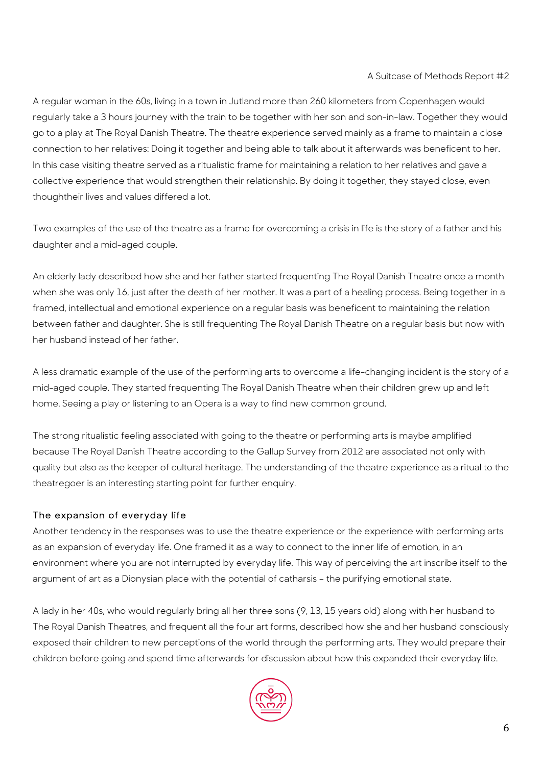A regular woman in the 60s, living in a town in Jutland more than 260 kilometers from Copenhagen would regularly take a 3 hours journey with the train to be together with her son and son-in-law. Together they would go to a play at The Royal Danish Theatre. The theatre experience served mainly as a frame to maintain a close connection to her relatives: Doing it together and being able to talk about it afterwards was beneficent to her. In this case visiting theatre served as a ritualistic frame for maintaining a relation to her relatives and gave a collective experience that would strengthen their relationship. By doing it together, they stayed close, even thoughtheir lives and values differed a lot.

Two examples of the use of the theatre as a frame for overcoming a crisis in life is the story of a father and his daughter and a mid-aged couple.

An elderly lady described how she and her father started frequenting The Royal Danish Theatre once a month when she was only 16, just after the death of her mother. It was a part of a healing process. Being together in a framed, intellectual and emotional experience on a regular basis was beneficent to maintaining the relation between father and daughter. She is still frequenting The Royal Danish Theatre on a regular basis but now with her husband instead of her father.

A less dramatic example of the use of the performing arts to overcome a life-changing incident is the story of a mid-aged couple. They started frequenting The Royal Danish Theatre when their children grew up and left home. Seeing a play or listening to an Opera is a way to find new common ground.

The strong ritualistic feeling associated with going to the theatre or performing arts is maybe amplified because The Royal Danish Theatre according to the Gallup Survey from 2012 are associated not only with quality but also as the keeper of cultural heritage. The understanding of the theatre experience as a ritual to the theatregoer is an interesting starting point for further enquiry.

#### The expansion of everyday life

Another tendency in the responses was to use the theatre experience or the experience with performing arts as an expansion of everyday life. One framed it as a way to connect to the inner life of emotion, in an environment where you are not interrupted by everyday life. This way of perceiving the art inscribe itself to the argument of art as a Dionysian place with the potential of catharsis – the purifying emotional state.

A lady in her 40s, who would regularly bring all her three sons (9, 13, 15 years old) along with her husband to The Royal Danish Theatres, and frequent all the four art forms, described how she and her husband consciously exposed their children to new perceptions of the world through the performing arts. They would prepare their children before going and spend time afterwards for discussion about how this expanded their everyday life.

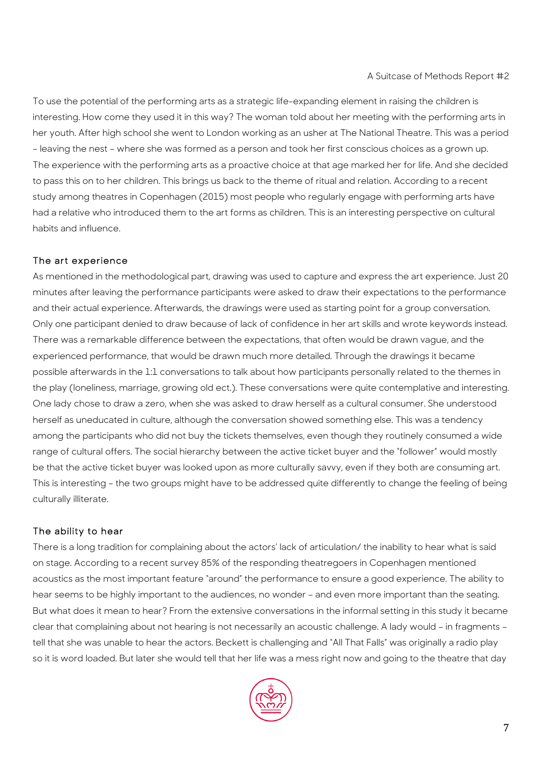To use the potential of the performing arts as a strategic life-expanding element in raising the children is interesting. How come they used it in this way? The woman told about her meeting with the performing arts in her youth. After high school she went to London working as an usher at The National Theatre. This was a period – leaving the nest – where she was formed as a person and took her first conscious choices as a grown up. The experience with the performing arts as a proactive choice at that age marked her for life. And she decided to pass this on to her children. This brings us back to the theme of ritual and relation. According to a recent study among theatres in Copenhagen (2015) most people who regularly engage with performing arts have had a relative who introduced them to the art forms as children. This is an interesting perspective on cultural habits and influence.

## The art experience

As mentioned in the methodological part, drawing was used to capture and express the art experience. Just 20 minutes after leaving the performance participants were asked to draw their expectations to the performance and their actual experience. Afterwards, the drawings were used as starting point for a group conversation. Only one participant denied to draw because of lack of confidence in her art skills and wrote keywords instead. There was a remarkable difference between the expectations, that often would be drawn vague, and the experienced performance, that would be drawn much more detailed. Through the drawings it became possible afterwards in the 1:1 conversations to talk about how participants personally related to the themes in the play (loneliness, marriage, growing old ect.). These conversations were quite contemplative and interesting. One lady chose to draw a zero, when she was asked to draw herself as a cultural consumer. She understood herself as uneducated in culture, although the conversation showed something else. This was a tendency among the participants who did not buy the tickets themselves, even though they routinely consumed a wide range of cultural offers. The social hierarchy between the active ticket buyer and the "follower" would mostly be that the active ticket buyer was looked upon as more culturally savvy, even if they both are consuming art. This is interesting – the two groups might have to be addressed quite differently to change the feeling of being culturally illiterate.

## The ability to hear

There is a long tradition for complaining about the actors' lack of articulation/ the inability to hear what is said on stage. According to a recent survey 85% of the responding theatregoers in Copenhagen mentioned acoustics as the most important feature "around" the performance to ensure a good experience. The ability to hear seems to be highly important to the audiences, no wonder – and even more important than the seating. But what does it mean to hear? From the extensive conversations in the informal setting in this study it became clear that complaining about not hearing is not necessarily an acoustic challenge. A lady would – in fragments – tell that she was unable to hear the actors. Beckett is challenging and "All That Falls" was originally a radio play so it is word loaded. But later she would tell that her life was a mess right now and going to the theatre that day

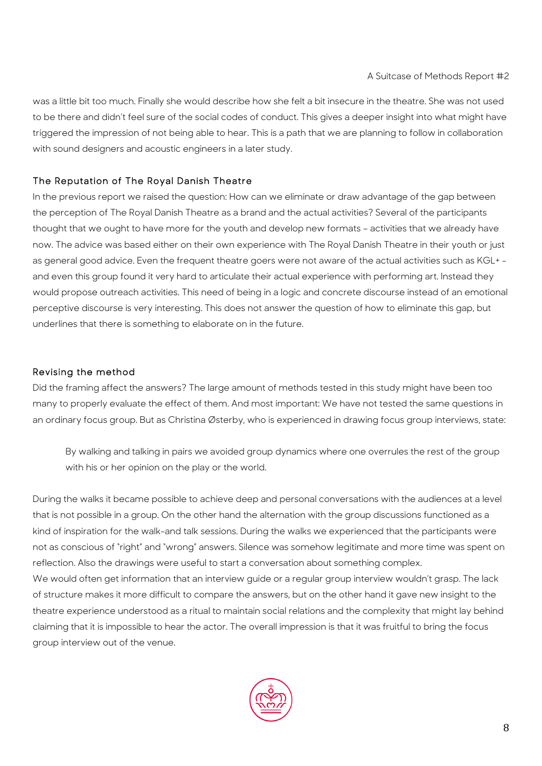was a little bit too much. Finally she would describe how she felt a bit insecure in the theatre. She was not used to be there and didn't feel sure of the social codes of conduct. This gives a deeper insight into what might have triggered the impression of not being able to hear. This is a path that we are planning to follow in collaboration with sound designers and acoustic engineers in a later study.

## The Reputation of The Royal Danish Theatre

In the previous report we raised the question: How can we eliminate or draw advantage of the gap between the perception of The Royal Danish Theatre as a brand and the actual activities? Several of the participants thought that we ought to have more for the youth and develop new formats – activities that we already have now. The advice was based either on their own experience with The Royal Danish Theatre in their youth or just as general good advice. Even the frequent theatre goers were not aware of the actual activities such as KGL+ and even this group found it very hard to articulate their actual experience with performing art. Instead they would propose outreach activities. This need of being in a logic and concrete discourse instead of an emotional perceptive discourse is very interesting. This does not answer the question of how to eliminate this gap, but underlines that there is something to elaborate on in the future.

## Revising the method

Did the framing affect the answers? The large amount of methods tested in this study might have been too many to properly evaluate the effect of them. And most important: We have not tested the same questions in an ordinary focus group. But as Christina Østerby, who is experienced in drawing focus group interviews, state:

By walking and talking in pairs we avoided group dynamics where one overrules the rest of the group with his or her opinion on the play or the world.

During the walks it became possible to achieve deep and personal conversations with the audiences at a level that is not possible in a group. On the other hand the alternation with the group discussions functioned as a kind of inspiration for the walk-and talk sessions. During the walks we experienced that the participants were not as conscious of "right" and "wrong" answers. Silence was somehow legitimate and more time was spent on reflection. Also the drawings were useful to start a conversation about something complex. We would often get information that an interview guide or a regular group interview wouldn't grasp. The lack of structure makes it more difficult to compare the answers, but on the other hand it gave new insight to the theatre experience understood as a ritual to maintain social relations and the complexity that might lay behind claiming that it is impossible to hear the actor. The overall impression is that it was fruitful to bring the focus group interview out of the venue.